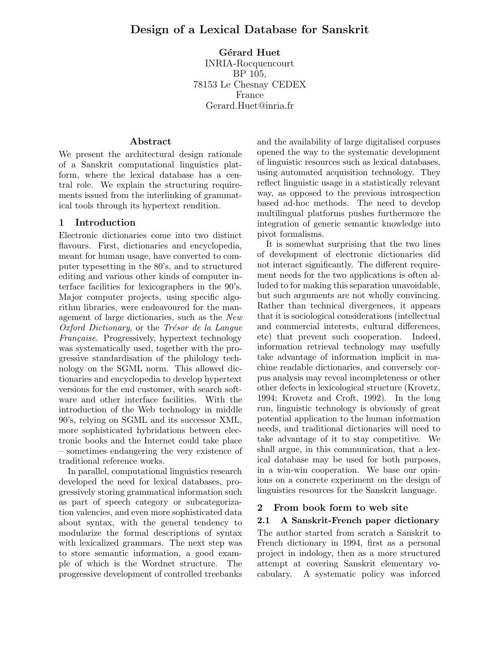# Gérard Huet

INRIA-Rocquencourt BP 105, 78153 Le Chesnay CEDEX France Gerard.Huet@inria.fr

## Abstract

We present the architectural design rationale of a Sanskrit computational linguistics platform, where the lexical database has a central role. We explain the structuring requirements issued from the interlinking of grammatical tools through its hypertext rendition.

## 1 Introduction

Electronic dictionaries come into two distinct flavours. First, dictionaries and encyclopedia, meant for human usage, have converted to computer typesetting in the 80's, and to structured editing and various other kinds of computer interface facilities for lexicographers in the 90's. Major computer projects, using specific algorithm libraries, were endeavoured for the management of large dictionaries, such as the New Oxford Dictionary, or the Trésor de la Langue Française. Progressively, hypertext technology was systematically used, together with the progressive standardisation of the philology technology on the SGML norm. This allowed dictionaries and encyclopedia to develop hypertext versions for the end customer, with search software and other interface facilities. With the introduction of the Web technology in middle 90's, relying on SGML and its successor XML, more sophisticated hybridations between electronic books and the Internet could take place – sometimes endangering the very existence of traditional reference works.

In parallel, computational linguistics research developed the need for lexical databases, progressively storing grammatical information such as part of speech category or subcategorization valencies, and even more sophisticated data about syntax, with the general tendency to modularize the formal descriptions of syntax with lexicalized grammars. The next step was to store semantic information, a good example of which is the Wordnet structure. The progressive development of controlled treebanks

and the availability of large digitalised corpuses opened the way to the systematic development of linguistic resources such as lexical databases, using automated acquisition technology. They reflect linguistic usage in a statistically relevant way, as opposed to the previous introspection based ad-hoc methods. The need to develop multilingual platforms pushes furthermore the integration of generic semantic knowledge into pivot formalisms.

It is somewhat surprising that the two lines of development of electronic dictionaries did not interact significantly. The different requirement needs for the two applications is often alluded to for making this separation unavoidable, but such arguments are not wholly convincing. Rather than technical divergences, it appears that it is sociological considerations (intellectual and commercial interests, cultural differences, etc) that prevent such cooperation. Indeed, information retrieval technology may usefully take advantage of information implicit in machine readable dictionaries, and conversely corpus analysis may reveal incompleteness or other other defects in lexicological structure (Krovetz, 1994; Krovetz and Croft, 1992). In the long run, linguistic technology is obviously of great potential application to the human information needs, and traditional dictionaries will need to take advantage of it to stay competitive. We shall argue, in this communication, that a lexical database may be used for both purposes, in a win-win cooperation. We base our opinions on a concrete experiment on the design of linguistics resources for the Sanskrit language.

## 2 From book form to web site

## 2.1 A Sanskrit-French paper dictionary

The author started from scratch a Sanskrit to French dictionary in 1994, first as a personal project in indology, then as a more structured attempt at covering Sanskrit elementary vocabulary. A systematic policy was inforced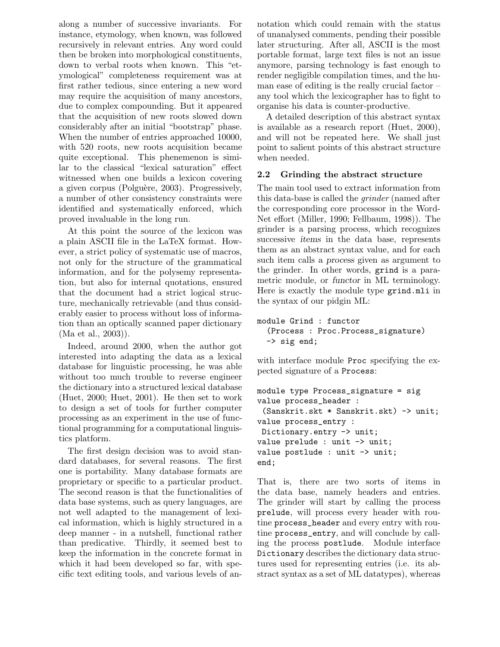along a number of successive invariants. For instance, etymology, when known, was followed recursively in relevant entries. Any word could then be broken into morphological constituents, down to verbal roots when known. This "etymological" completeness requirement was at first rather tedious, since entering a new word may require the acquisition of many ancestors, due to complex compounding. But it appeared that the acquisition of new roots slowed down considerably after an initial "bootstrap" phase. When the number of entries approached 10000, with 520 roots, new roots acquisition became quite exceptional. This phenemenon is similar to the classical "lexical saturation" effect witnessed when one builds a lexicon covering a given corpus (Polguère, 2003). Progressively, a number of other consistency constraints were identified and systematically enforced, which proved invaluable in the long run.

At this point the source of the lexicon was a plain ASCII file in the LaTeX format. However, a strict policy of systematic use of macros, not only for the structure of the grammatical information, and for the polysemy representation, but also for internal quotations, ensured that the document had a strict logical structure, mechanically retrievable (and thus considerably easier to process without loss of information than an optically scanned paper dictionary (Ma et al., 2003)).

Indeed, around 2000, when the author got interested into adapting the data as a lexical database for linguistic processing, he was able without too much trouble to reverse engineer the dictionary into a structured lexical database (Huet, 2000; Huet, 2001). He then set to work to design a set of tools for further computer processing as an experiment in the use of functional programming for a computational linguistics platform.

The first design decision was to avoid standard databases, for several reasons. The first one is portability. Many database formats are proprietary or specific to a particular product. The second reason is that the functionalities of data base systems, such as query languages, are not well adapted to the management of lexical information, which is highly structured in a deep manner - in a nutshell, functional rather than predicative. Thirdly, it seemed best to keep the information in the concrete format in which it had been developed so far, with specific text editing tools, and various levels of annotation which could remain with the status of unanalysed comments, pending their possible later structuring. After all, ASCII is the most portable format, large text files is not an issue anymore, parsing technology is fast enough to render negligible compilation times, and the human ease of editing is the really crucial factor – any tool which the lexicographer has to fight to organise his data is counter-productive.

A detailed description of this abstract syntax is available as a research report (Huet, 2000), and will not be repeated here. We shall just point to salient points of this abstract structure when needed.

## 2.2 Grinding the abstract structure

The main tool used to extract information from this data-base is called the grinder (named after the corresponding core processor in the Word-Net effort (Miller, 1990; Fellbaum, 1998)). The grinder is a parsing process, which recognizes successive items in the data base, represents them as an abstract syntax value, and for each such item calls a process given as argument to the grinder. In other words, grind is a parametric module, or functor in ML terminology. Here is exactly the module type grind.mli in the syntax of our pidgin ML:

```
module Grind : functor
  (Process : Proc.Process_signature)
  -> sig end;
```
with interface module **Proc** specifying the expected signature of a Process:

```
module type Process_signature = sig
value process_header :
 (Sanskrit.skt * Sanskrit.skt) -> unit;
value process_entry :
Dictionary.entry -> unit;
value prelude : unit -> unit;
value postlude : unit -> unit;
end;
```
That is, there are two sorts of items in the data base, namely headers and entries. The grinder will start by calling the process prelude, will process every header with routine process\_header and every entry with routine process\_entry, and will conclude by calling the process postlude. Module interface Dictionary describes the dictionary data structures used for representing entries (i.e. its abstract syntax as a set of ML datatypes), whereas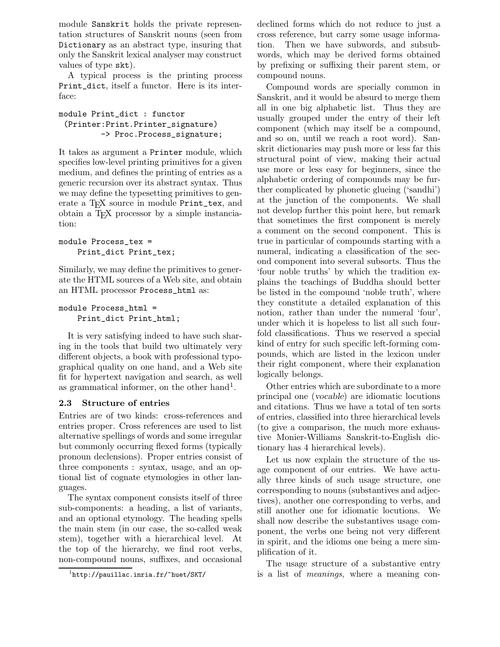module Sanskrit holds the private representation structures of Sanskrit nouns (seen from Dictionary as an abstract type, insuring that only the Sanskrit lexical analyser may construct values of type skt).

A typical process is the printing process Print\_dict, itself a functor. Here is its interface:

module Print\_dict : functor (Printer:Print.Printer\_signature) -> Proc.Process\_signature;

It takes as argument a Printer module, which specifies low-level printing primitives for a given medium, and defines the printing of entries as a generic recursion over its abstract syntax. Thus we may define the typesetting primitives to generate a T<sub>F</sub>X source in module Print\_tex, and obtain a TEX processor by a simple instanciation:

## module Process\_tex = Print\_dict Print\_tex;

Similarly, we may define the primitives to generate the HTML sources of a Web site, and obtain an HTML processor Process\_html as:

```
module Process_html =
    Print_dict Print_html;
```
It is very satisfying indeed to have such sharing in the tools that build two ultimately very different objects, a book with professional typographical quality on one hand, and a Web site fit for hypertext navigation and search, as well as grammatical informer, on the other hand<sup>1</sup>.

## 2.3 Structure of entries

Entries are of two kinds: cross-references and entries proper. Cross references are used to list alternative spellings of words and some irregular but commonly occurring flexed forms (typically pronoun declensions). Proper entries consist of three components : syntax, usage, and an optional list of cognate etymologies in other languages.

The syntax component consists itself of three sub-components: a heading, a list of variants, and an optional etymology. The heading spells the main stem (in our case, the so-called weak stem), together with a hierarchical level. At the top of the hierarchy, we find root verbs, non-compound nouns, suffixes, and occasional declined forms which do not reduce to just a cross reference, but carry some usage information. Then we have subwords, and subsubwords, which may be derived forms obtained by prefixing or suffixing their parent stem, or compound nouns.

Compound words are specially common in Sanskrit, and it would be absurd to merge them all in one big alphabetic list. Thus they are usually grouped under the entry of their left component (which may itself be a compound, and so on, until we reach a root word). Sanskrit dictionaries may push more or less far this structural point of view, making their actual use more or less easy for beginners, since the alphabetic ordering of compounds may be further complicated by phonetic glueing ('sandhi') at the junction of the components. We shall not develop further this point here, but remark that sometimes the first component is merely a comment on the second component. This is true in particular of compounds starting with a numeral, indicating a classification of the second component into several subsorts. Thus the 'four noble truths' by which the tradition explains the teachings of Buddha should better be listed in the compound 'noble truth', where they constitute a detailed explanation of this notion, rather than under the numeral 'four', under which it is hopeless to list all such fourfold classifications. Thus we reserved a special kind of entry for such specific left-forming compounds, which are listed in the lexicon under their right component, where their explanation logically belongs.

Other entries which are subordinate to a more principal one (vocable) are idiomatic locutions and citations. Thus we have a total of ten sorts of entries, classified into three hierarchical levels (to give a comparison, the much more exhaustive Monier-Williams Sanskrit-to-English dictionary has 4 hierarchical levels).

Let us now explain the structure of the usage component of our entries. We have actually three kinds of such usage structure, one corresponding to nouns (substantives and adjectives), another one corresponding to verbs, and still another one for idiomatic locutions. We shall now describe the substantives usage component, the verbs one being not very different in spirit, and the idioms one being a mere simplification of it.

The usage structure of a substantive entry is a list of meanings, where a meaning con-

 $\frac{1}{1}$ http://pauillac.inria.fr/~huet/SKT/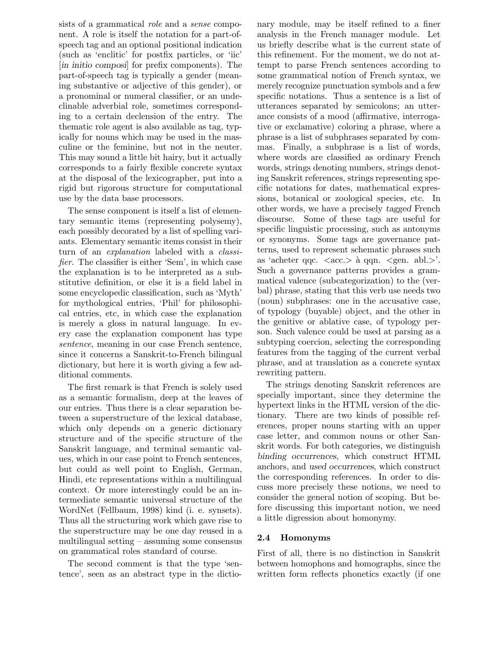sists of a grammatical *role* and a *sense* component. A role is itself the notation for a part-ofspeech tag and an optional positional indication (such as 'enclitic' for postfix particles, or 'iic' [in initio composi] for prefix components). The part-of-speech tag is typically a gender (meaning substantive or adjective of this gender), or a pronominal or numeral classifier, or an undeclinable adverbial role, sometimes corresponding to a certain declension of the entry. The thematic role agent is also available as tag, typically for nouns which may be used in the masculine or the feminine, but not in the neuter. This may sound a little bit hairy, but it actually corresponds to a fairly flexible concrete syntax at the disposal of the lexicographer, put into a rigid but rigorous structure for computational use by the data base processors.

The sense component is itself a list of elementary semantic items (representing polysemy), each possibly decorated by a list of spelling variants. Elementary semantic items consist in their turn of an *explanation* labeled with a *classi*fier. The classifier is either 'Sem', in which case the explanation is to be interpreted as a substitutive definition, or else it is a field label in some encyclopedic classification, such as 'Myth' for mythological entries, 'Phil' for philosophical entries, etc, in which case the explanation is merely a gloss in natural language. In every case the explanation component has type sentence, meaning in our case French sentence, since it concerns a Sanskrit-to-French bilingual dictionary, but here it is worth giving a few additional comments.

The first remark is that French is solely used as a semantic formalism, deep at the leaves of our entries. Thus there is a clear separation between a superstructure of the lexical database, which only depends on a generic dictionary structure and of the specific structure of the Sanskrit language, and terminal semantic values, which in our case point to French sentences, but could as well point to English, German, Hindi, etc representations within a multilingual context. Or more interestingly could be an intermediate semantic universal structure of the WordNet (Fellbaum, 1998) kind (i. e. synsets). Thus all the structuring work which gave rise to the superstructure may be one day reused in a multilingual setting – assuming some consensus on grammatical roles standard of course.

The second comment is that the type 'sentence', seen as an abstract type in the dictionary module, may be itself refined to a finer analysis in the French manager module. Let us briefly describe what is the current state of this refinement. For the moment, we do not attempt to parse French sentences according to some grammatical notion of French syntax, we merely recognize punctuation symbols and a few specific notations. Thus a sentence is a list of utterances separated by semicolons; an utterance consists of a mood (affirmative, interrogative or exclamative) coloring a phrase, where a phrase is a list of subphrases separated by commas. Finally, a subphrase is a list of words, where words are classified as ordinary French words, strings denoting numbers, strings denoting Sanskrit references, strings representing specific notations for dates, mathematical expressions, botanical or zoological species, etc. In other words, we have a precisely tagged French discourse. Some of these tags are useful for specific linguistic processing, such as antonyms or synonyms. Some tags are governance patterns, used to represent schematic phrases such as 'acheter qqc.  $\langle acc. \rangle$  à qqn.  $\langle gen. \text{abl.} \rangle$ '. Such a governance patterns provides a grammatical valence (subcategorization) to the (verbal) phrase, stating that this verb use needs two (noun) subphrases: one in the accusative case, of typology (buyable) object, and the other in the genitive or ablative case, of typology person. Such valence could be used at parsing as a subtyping coercion, selecting the corresponding features from the tagging of the current verbal phrase, and at translation as a concrete syntax rewriting pattern.

The strings denoting Sanskrit references are specially important, since they determine the hypertext links in the HTML version of the dictionary. There are two kinds of possible references, proper nouns starting with an upper case letter, and common nouns or other Sanskrit words. For both categories, we distinguish binding occurrences, which construct HTML anchors, and used occurrences, which construct the corresponding references. In order to discuss more precisely these notions, we need to consider the general notion of scoping. But before discussing this important notion, we need a little digression about homonymy.

### 2.4 Homonyms

First of all, there is no distinction in Sanskrit between homophons and homographs, since the written form reflects phonetics exactly (if one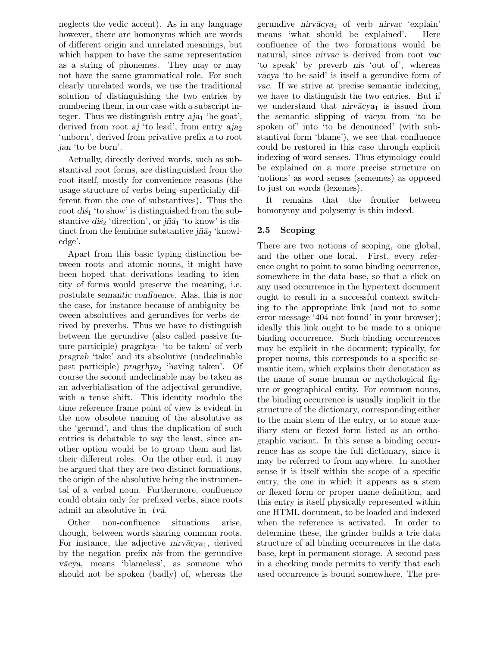neglects the vedic accent). As in any language however, there are homonyms which are words of different origin and unrelated meanings, but which happen to have the same representation as a string of phonemes. They may or may not have the same grammatical role. For such clearly unrelated words, we use the traditional solution of distinguishing the two entries by numbering them, in our case with a subscript integer. Thus we distinguish entry  $aja<sub>1</sub>$  'he goat', derived from root aj 'to lead', from entry  $aja_2$ 'unborn', derived from privative prefix a to root jan 'to be born'.

Actually, directly derived words, such as substantival root forms, are distinguished from the root itself, mostly for convenience reasons (the usage structure of verbs being superficially different from the one of substantives). Thus the root  $d\vec{s}_1$  'to show' is distinguished from the substantive dis<sub>2</sub> 'direction', or  $j\tilde{n}\bar{a}_1$  'to know' is distinct from the feminine substantive  $j\tilde{n}\bar{a}_2$  'knowledge'.

Apart from this basic typing distinction between roots and atomic nouns, it might have been hoped that derivations leading to identity of forms would preserve the meaning, i.e. postulate semantic confluence. Alas, this is nor the case, for instance because of ambiguity between absolutives and gerundives for verbs derived by preverbs. Thus we have to distinguish between the gerundive (also called passive future participle)  $pragrhya<sub>1</sub>$  'to be taken' of verb pragrah 'take' and its absolutive (undeclinable past participle)  $pragrhya<sub>2</sub>$  'having taken'. Of course the second undeclinable may be taken as an adverbialisation of the adjectival gerundive, with a tense shift. This identity modulo the time reference frame point of view is evident in the now obsolete naming of the absolutive as the 'gerund', and thus the duplication of such entries is debatable to say the least, since another option would be to group them and list their different roles. On the other end, it may be argued that they are two distinct formations, the origin of the absolutive being the instrumental of a verbal noun. Furthermore, confluence could obtain only for prefixed verbs, since roots admit an absolutive in  $-tv\bar{a}$ .

Other non-confluence situations arise, though, between words sharing commun roots. For instance, the adjective nirvacya<sub>1</sub>, derived by the negation prefix nis from the gerundive v¯acya, means 'blameless', as someone who should not be spoken (badly) of, whereas the gerundive nirvācya<sub>2</sub> of verb nirvac 'explain' means 'what should be explained'. Here confluence of the two formations would be natural, since nirvac is derived from root vac 'to speak' by preverb nis 'out of', whereas vācya 'to be said' is itself a gerundive form of vac. If we strive at precise semantic indexing, we have to distinguish the two entries. But if we understand that  $nirv\bar{a}cya_1$  is issued from the semantic slipping of vacya from 'to be spoken of' into 'to be denounced' (with substantival form 'blame'), we see that confluence could be restored in this case through explicit indexing of word senses. Thus etymology could be explained on a more precise structure on 'notions' as word senses (sememes) as opposed to just on words (lexemes).

It remains that the frontier between homonymy and polysemy is thin indeed.

## 2.5 Scoping

There are two notions of scoping, one global, and the other one local. First, every reference ought to point to some binding occurrence, somewhere in the data base, so that a click on any used occurrence in the hypertext document ought to result in a successful context switching to the appropriate link (and not to some error message '404 not found' in your browser); ideally this link ought to be made to a unique binding occurrence. Such binding occurrences may be explicit in the document; typically, for proper nouns, this corresponds to a specific semantic item, which explains their denotation as the name of some human or mythological figure or geographical entity. For common nouns, the binding occurrence is usually implicit in the structure of the dictionary, corresponding either to the main stem of the entry, or to some auxiliary stem or flexed form listed as an orthographic variant. In this sense a binding occurrence has as scope the full dictionary, since it may be referred to from anywhere. In another sense it is itself within the scope of a specific entry, the one in which it appears as a stem or flexed form or proper name definition, and this entry is itself physically represented within one HTML document, to be loaded and indexed when the reference is activated. In order to determine these, the grinder builds a trie data structure of all binding occurrences in the data base, kept in permanent storage. A second pass in a checking mode permits to verify that each used occurrence is bound somewhere. The pre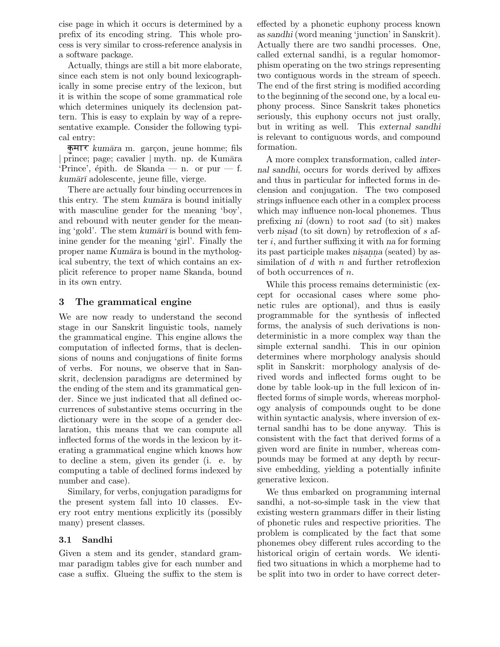cise page in which it occurs is determined by a prefix of its encoding string. This whole process is very similar to cross-reference analysis in a software package.

Actually, things are still a bit more elaborate, since each stem is not only bound lexicographically in some precise entry of the lexicon, but it is within the scope of some grammatical role which determines uniquely its declension pattern. This is easy to explain by way of a representative example. Consider the following typical entry:

कुमार *kumāra* m. garçon, jeune homme; fils prince; page; cavalier | myth. np. de Kumāra 'Prince', épith. de Skanda — n. or pur — f.  $kumārī$  adolescente, jeune fille, vierge.

There are actually four binding occurrences in this entry. The stem kumāra is bound initially with masculine gender for the meaning 'boy', and rebound with neuter gender for the meaning 'gold'. The stem kum $\bar{a}r\bar{l}$  is bound with feminine gender for the meaning 'girl'. Finally the proper name Kumāra is bound in the mythological subentry, the text of which contains an explicit reference to proper name Skanda, bound in its own entry.

### 3 The grammatical engine

We are now ready to understand the second stage in our Sanskrit linguistic tools, namely the grammatical engine. This engine allows the computation of inflected forms, that is declensions of nouns and conjugations of finite forms of verbs. For nouns, we observe that in Sanskrit, declension paradigms are determined by the ending of the stem and its grammatical gender. Since we just indicated that all defined occurrences of substantive stems occurring in the dictionary were in the scope of a gender declaration, this means that we can compute all inflected forms of the words in the lexicon by iterating a grammatical engine which knows how to decline a stem, given its gender (i. e. by computing a table of declined forms indexed by number and case).

Similary, for verbs, conjugation paradigms for the present system fall into 10 classes. Every root entry mentions explicitly its (possibly many) present classes.

#### 3.1 Sandhi

Given a stem and its gender, standard grammar paradigm tables give for each number and case a suffix. Glueing the suffix to the stem is effected by a phonetic euphony process known as sandhi (word meaning 'junction' in Sanskrit). Actually there are two sandhi processes. One, called external sandhi, is a regular homomorphism operating on the two strings representing two contiguous words in the stream of speech. The end of the first string is modified according to the beginning of the second one, by a local euphony process. Since Sanskrit takes phonetics seriously, this euphony occurs not just orally, but in writing as well. This external sandhi is relevant to contiguous words, and compound formation.

A more complex transformation, called internal sandhi, occurs for words derived by affixes and thus in particular for inflected forms in declension and conjugation. The two composed strings influence each other in a complex process which may influence non-local phonemes. Thus prefixing ni (down) to root sad (to sit) makes verb nisad (to sit down) by retroflexion of  $s$  after  $i$ , and further suffixing it with na for forming its past participle makes nisanna (seated) by assimilation of  $d$  with  $n$  and further retroflexion of both occurrences of n.

While this process remains deterministic (except for occasional cases where some phonetic rules are optional), and thus is easily programmable for the synthesis of inflected forms, the analysis of such derivations is nondeterministic in a more complex way than the simple external sandhi. This in our opinion determines where morphology analysis should split in Sanskrit: morphology analysis of derived words and inflected forms ought to be done by table look-up in the full lexicon of inflected forms of simple words, whereas morphology analysis of compounds ought to be done within syntactic analysis, where inversion of external sandhi has to be done anyway. This is consistent with the fact that derived forms of a given word are finite in number, whereas compounds may be formed at any depth by recursive embedding, yielding a potentially infinite generative lexicon.

We thus embarked on programming internal sandhi, a not-so-simple task in the view that existing western grammars differ in their listing of phonetic rules and respective priorities. The problem is complicated by the fact that some phonemes obey different rules according to the historical origin of certain words. We identified two situations in which a morpheme had to be split into two in order to have correct deter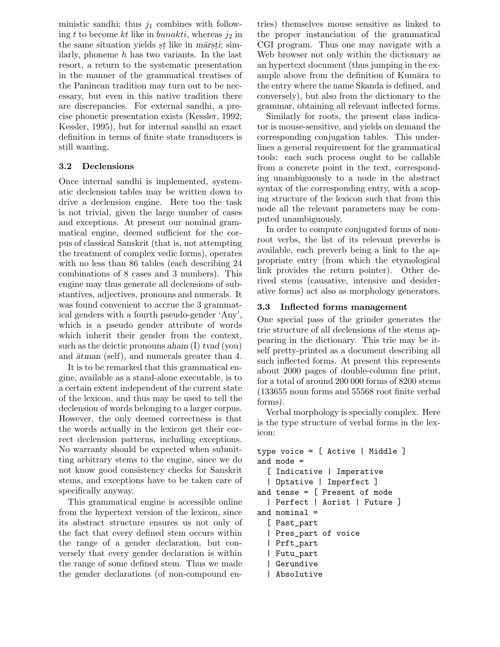ministic sandhi; thus  $j_1$  combines with following t to become kt like in bunakti, whereas  $j_2$  in the same situation yields *st* like in *mārsti*; similarly, phoneme  $h$  has two variants. In the last resort, a return to the systematic presentation in the manner of the grammatical treatises of the Paninean tradition may turn out to be necessary, but even in this native tradition there are discrepancies. For external sandhi, a precise phonetic presentation exists (Kessler, 1992; Kessler, 1995), but for internal sandhi an exact definition in terms of finite state transducers is still wanting.

### 3.2 Declensions

Once internal sandhi is implemented, systematic declension tables may be written down to drive a declension engine. Here too the task is not trivial, given the large number of cases and exceptions. At present our nominal grammatical engine, deemed sufficient for the corpus of classical Sanskrit (that is, not attempting the treatment of complex vedic forms), operates with no less than 86 tables (each describing 24 combinations of 8 cases and 3 numbers). This engine may thus generate all declensions of substantives, adjectives, pronouns and numerals. It was found convenient to accrue the 3 grammatical genders with a fourth pseudo-gender 'Any', which is a pseudo gender attribute of words which inherit their gender from the context, such as the deictic pronouns aham  $(I)$  tvad (you) and  $\bar{a}t$  (self), and numerals greater than 4.

It is to be remarked that this grammatical engine, available as a stand-alone executable, is to a certain extent independent of the current state of the lexicon, and thus may be used to tell the declension of words belonging to a larger corpus. However, the only deemed correctness is that the words actually in the lexicon get their correct declension patterns, including exceptions. No warranty should be expected when submitting arbitrary stems to the engine, since we do not know good consistency checks for Sanskrit stems, and exceptions have to be taken care of specifically anyway.

This grammatical engine is accessible online from the hypertext version of the lexicon, since its abstract structure ensures us not only of the fact that every defined stem occurs within the range of a gender declaration, but conversely that every gender declaration is within the range of some defined stem. Thus we made the gender declarations (of non-compound entries) themselves mouse sensitive as linked to the proper instanciation of the grammatical CGI program. Thus one may navigate with a Web browser not only within the dictionary as an hypertext document (thus jumping in the example above from the definition of Kumāra to the entry where the name Skanda is defined, and conversely), but also from the dictionary to the grammar, obtaining all relevant inflected forms.

Similarly for roots, the present class indicator is mouse-sensitive, and yields on demand the corresponding conjugation tables. This underlines a general requirement for the grammatical tools: each such process ought to be callable from a concrete point in the text, corresponding unambiguously to a node in the abstract syntax of the corresponding entry, with a scoping structure of the lexicon such that from this node all the relevant parameters may be computed unambiguously.

In order to compute conjugated forms of nonroot verbs, the list of its relevant preverbs is available, each preverb being a link to the appropriate entry (from which the etymological link provides the return pointer). Other derived stems (causative, intensive and desiderative forms) act also as morphology generators.

#### 3.3 Inflected forms management

One special pass of the grinder generates the trie structure of all declensions of the stems appearing in the dictionary. This trie may be itself pretty-printed as a document describing all such inflected forms. At present this represents about 2000 pages of double-column fine print, for a total of around 200 000 forms of 8200 stems (133655 noun forms and 55568 root finite verbal forms).

Verbal morphology is specially complex. Here is the type structure of verbal forms in the lexicon:

```
type voice = [ Active | Middle ]
and mode =
  [ Indicative | Imperative
  | Optative | Imperfect ]
and tense = [ Present of mode
  | Perfect | Aorist | Future ]
and nominal =
  [ Past_part
  | Pres_part of voice
  | Prft_part
  | Futu_part
  | Gerundive
  | Absolutive
```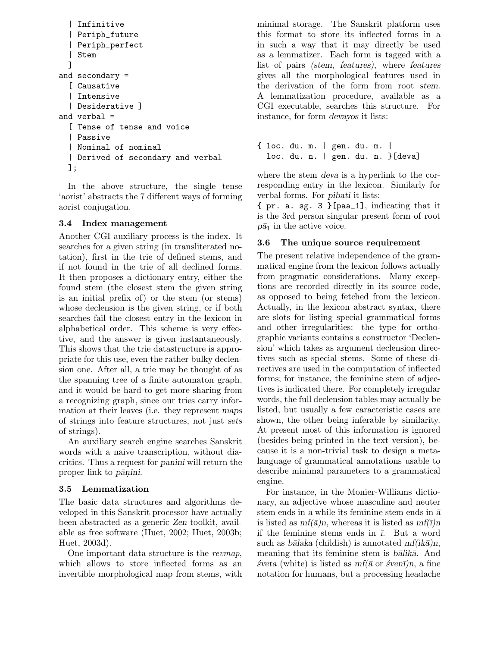```
| Infinitive
  | Periph_future
  | Periph_perfect
  | Stem
  ]
and secondary =
  [ Causative
  | Intensive
  | Desiderative ]
and verbal =
  [ Tense of tense and voice
  | Passive
  | Nominal of nominal
  | Derived of secondary and verbal
 ];
```
In the above structure, the single tense 'aorist' abstracts the 7 different ways of forming aorist conjugation.

#### 3.4 Index management

Another CGI auxiliary process is the index. It searches for a given string (in transliterated notation), first in the trie of defined stems, and if not found in the trie of all declined forms. It then proposes a dictionary entry, either the found stem (the closest stem the given string is an initial prefix of) or the stem (or stems) whose declension is the given string, or if both searches fail the closest entry in the lexicon in alphabetical order. This scheme is very effective, and the answer is given instantaneously. This shows that the trie datastructure is appropriate for this use, even the rather bulky declension one. After all, a trie may be thought of as the spanning tree of a finite automaton graph, and it would be hard to get more sharing from a recognizing graph, since our tries carry information at their leaves (i.e. they represent maps of strings into feature structures, not just sets of strings).

An auxiliary search engine searches Sanskrit words with a naive transcription, without diacritics. Thus a request for panini will return the proper link to *pānini*.

#### 3.5 Lemmatization

The basic data structures and algorithms developed in this Sanskrit processor have actually been abstracted as a generic Zen toolkit, available as free software (Huet, 2002; Huet, 2003b; Huet, 2003d).

One important data structure is the revmap, which allows to store inflected forms as an invertible morphological map from stems, with minimal storage. The Sanskrit platform uses this format to store its inflected forms in a in such a way that it may directly be used as a lemmatizer. Each form is tagged with a list of pairs (stem, features), where features gives all the morphological features used in the derivation of the form from root stem. A lemmatization procedure, available as a CGI executable, searches this structure. For instance, for form devayos it lists:

```
{ loc. du. m. | gen. du. m. |
  loc. du. n. | gen. du. n. }[deva]
```
where the stem deva is a hyperlink to the corresponding entry in the lexicon. Similarly for verbal forms. For pibati it lists:

{ pr. a. sg. 3 }[paa\_1], indicating that it is the 3rd person singular present form of root  $p\bar{a}_1$  in the active voice.

#### 3.6 The unique source requirement

The present relative independence of the grammatical engine from the lexicon follows actually from pragmatic considerations. Many exceptions are recorded directly in its source code, as opposed to being fetched from the lexicon. Actually, in the lexicon abstract syntax, there are slots for listing special grammatical forms and other irregularities: the type for orthographic variants contains a constructor 'Declension' which takes as argument declension directives such as special stems. Some of these directives are used in the computation of inflected forms; for instance, the feminine stem of adjectives is indicated there. For completely irregular words, the full declension tables may actually be listed, but usually a few caracteristic cases are shown, the other being inferable by similarity. At present most of this information is ignored (besides being printed in the text version), because it is a non-trivial task to design a metalanguage of grammatical annotations usable to describe minimal parameters to a grammatical engine.

For instance, in the Monier-Williams dictionary, an adjective whose masculine and neuter stem ends in a while its feminine stem ends in  $\bar{a}$ is listed as  $mf(\bar{a})n$ , whereas it is listed as  $mf(\bar{a})n$ if the feminine stems ends in  $\overline{\iota}$ . But a word such as bālaka (childish) is annotated  $mf(ik\bar{a})n$ , meaning that its feminine stem is balika. And  $\acute{s}veta$  (white) is listed as  $mf(\bar{a} \text{ or } \acute{s}ven\bar{1})n$ , a fine notation for humans, but a processing headache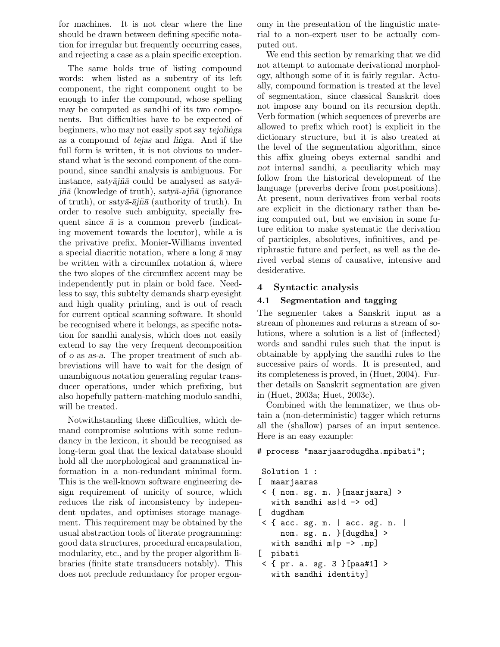for machines. It is not clear where the line should be drawn between defining specific notation for irregular but frequently occurring cases, and rejecting a case as a plain specific exception.

The same holds true of listing compound words: when listed as a subentry of its left component, the right component ought to be enough to infer the compound, whose spelling may be computed as sandhi of its two components. But difficulties have to be expected of beginners, who may not easily spot say tejolinga as a compound of tejas and linga. And if the full form is written, it is not obvious to understand what is the second component of the compound, since sandhi analysis is ambiguous. For instance, saty $\bar{a}$ jn $\bar{a}$  could be analysed as saty $\bar{a}$  $j\tilde{n}\bar{a}$  (knowledge of truth), saty $\bar{a}$ -aj $\tilde{n}\bar{a}$  (ignorance of truth), or saty $\bar{a}$ - $\bar{a}j\tilde{n}\bar{a}$  (authority of truth). In order to resolve such ambiguity, specially frequent since  $\bar{a}$  is a common preverb (indicating movement towards the locutor), while a is the privative prefix, Monier-Williams invented a special diacritic notation, where a long  $\bar{a}$  may be written with a circumflex notation  $\hat{a}$ , where the two slopes of the circumflex accent may be independently put in plain or bold face. Needless to say, this subtelty demands sharp eyesight and high quality printing, and is out of reach for current optical scanning software. It should be recognised where it belongs, as specific notation for sandhi analysis, which does not easily extend to say the very frequent decomposition of o as as-a. The proper treatment of such abbreviations will have to wait for the design of unambiguous notation generating regular transducer operations, under which prefixing, but also hopefully pattern-matching modulo sandhi, will be treated.

Notwithstanding these difficulties, which demand compromise solutions with some redundancy in the lexicon, it should be recognised as long-term goal that the lexical database should hold all the morphological and grammatical information in a non-redundant minimal form. This is the well-known software engineering design requirement of unicity of source, which reduces the risk of inconsistency by independent updates, and optimises storage management. This requirement may be obtained by the usual abstraction tools of literate programming: good data structures, procedural encapsulation, modularity, etc., and by the proper algorithm libraries (finite state transducers notably). This does not preclude redundancy for proper ergonomy in the presentation of the linguistic material to a non-expert user to be actually computed out.

We end this section by remarking that we did not attempt to automate derivational morphology, although some of it is fairly regular. Actually, compound formation is treated at the level of segmentation, since classical Sanskrit does not impose any bound on its recursion depth. Verb formation (which sequences of preverbs are allowed to prefix which root) is explicit in the dictionary structure, but it is also treated at the level of the segmentation algorithm, since this affix glueing obeys external sandhi and not internal sandhi, a peculiarity which may follow from the historical development of the language (preverbs derive from postpositions). At present, noun derivatives from verbal roots are explicit in the dictionary rather than being computed out, but we envision in some future edition to make systematic the derivation of participles, absolutives, infinitives, and periphrastic future and perfect, as well as the derived verbal stems of causative, intensive and desiderative.

### 4 Syntactic analysis

#### 4.1 Segmentation and tagging

The segmenter takes a Sanskrit input as a stream of phonemes and returns a stream of solutions, where a solution is a list of (inflected) words and sandhi rules such that the input is obtainable by applying the sandhi rules to the successive pairs of words. It is presented, and its completeness is proved, in (Huet, 2004). Further details on Sanskrit segmentation are given in (Huet, 2003a; Huet, 2003c).

Combined with the lemmatizer, we thus obtain a (non-deterministic) tagger which returns all the (shallow) parses of an input sentence. Here is an easy example:

#### # process "maarjaarodugdha.mpibati";

```
Solution 1 :
[ maarjaaras
< { nom. sg. m. }[maarjaara] >
   with sandhi as |d \rangle -> od]
[ dugdham
\leq { acc. sg. m. | acc. sg. n. |
     nom. sg. n. }[dugdha] >
  with sandhi m|p \rightarrow mp[ pibati
< { pr. a. sg. 3 }[paa#1] >
   with sandhi identity]
```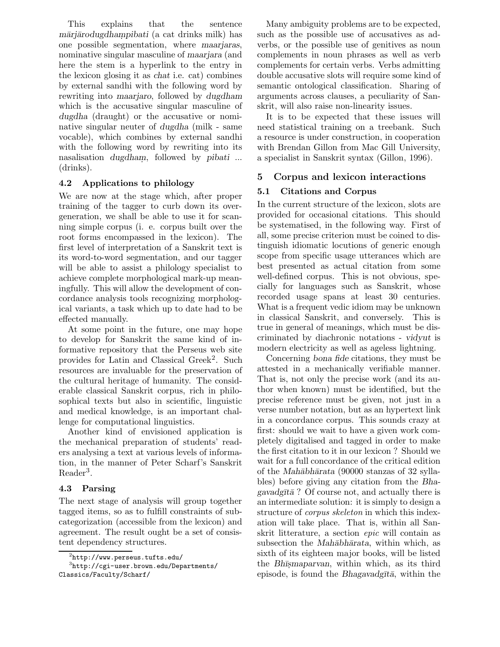This explains that the sentence mārjārodugdhampibati (a cat drinks milk) has one possible segmentation, where maarjaras, nominative singular masculine of maarjara (and here the stem is a hyperlink to the entry in the lexicon glosing it as chat i.e. cat) combines by external sandhi with the following word by rewriting into maarjaro, followed by dugdham which is the accusative singular masculine of dugdha (draught) or the accusative or nominative singular neuter of dugdha (milk - same vocable), which combines by external sandhi with the following word by rewriting into its nasalisation *dugdham*, followed by *pibati* ... (drinks).

#### 4.2 Applications to philology

We are now at the stage which, after proper training of the tagger to curb down its overgeneration, we shall be able to use it for scanning simple corpus (i. e. corpus built over the root forms encompassed in the lexicon). The first level of interpretation of a Sanskrit text is its word-to-word segmentation, and our tagger will be able to assist a philology specialist to achieve complete morphological mark-up meaningfully. This will allow the development of concordance analysis tools recognizing morphological variants, a task which up to date had to be effected manually.

At some point in the future, one may hope to develop for Sanskrit the same kind of informative repository that the Perseus web site provides for Latin and Classical Greek<sup>2</sup>. Such resources are invaluable for the preservation of the cultural heritage of humanity. The considerable classical Sanskrit corpus, rich in philosophical texts but also in scientific, linguistic and medical knowledge, is an important challenge for computational linguistics.

Another kind of envisioned application is the mechanical preparation of students' readers analysing a text at various levels of information, in the manner of Peter Scharf's Sanskrit Reader<sup>3</sup>.

#### 4.3 Parsing

The next stage of analysis will group together tagged items, so as to fulfill constraints of subcategorization (accessible from the lexicon) and agreement. The result ought be a set of consistent dependency structures.

Many ambiguity problems are to be expected, such as the possible use of accusatives as adverbs, or the possible use of genitives as noun complements in noun phrases as well as verb complements for certain verbs. Verbs admitting double accusative slots will require some kind of semantic ontological classification. Sharing of arguments across clauses, a peculiarity of Sanskrit, will also raise non-linearity issues.

It is to be expected that these issues will need statistical training on a treebank. Such a resource is under construction, in cooperation with Brendan Gillon from Mac Gill University, a specialist in Sanskrit syntax (Gillon, 1996).

## 5 Corpus and lexicon interactions

### 5.1 Citations and Corpus

In the current structure of the lexicon, slots are provided for occasional citations. This should be systematised, in the following way. First of all, some precise criterion must be coined to distinguish idiomatic locutions of generic enough scope from specific usage utterances which are best presented as actual citation from some well-defined corpus. This is not obvious, specially for languages such as Sanskrit, whose recorded usage spans at least 30 centuries. What is a frequent vedic idiom may be unknown in classical Sanskrit, and conversely. This is true in general of meanings, which must be discriminated by diachronic notations - vidyut is modern electricity as well as ageless lightning.

Concerning bona fide citations, they must be attested in a mechanically verifiable manner. That is, not only the precise work (and its author when known) must be identified, but the precise reference must be given, not just in a verse number notation, but as an hypertext link in a concordance corpus. This sounds crazy at first: should we wait to have a given work completely digitalised and tagged in order to make the first citation to it in our lexicon ? Should we wait for a full concordance of the critical edition of the Mah $\bar{a}$ bhārata (90000 stanzas of 32 syllables) before giving any citation from the Bhagavadg $\bar{t}$  $\bar{a}$ ? Of course not, and actually there is an intermediate solution: it is simply to design a structure of *corpus skeleton* in which this indexation will take place. That is, within all Sanskrit litterature, a section epic will contain as subsection the *Mahābhārata*, within which, as sixth of its eighteen major books, will be listed the Bhismaparvan, within which, as its third episode, is found the Bhagavadgītā, within the

 $^{2}$ http://www.perseus.tufts.edu/

<sup>3</sup> http://cgi-user.brown.edu/Departments/ Classics/Faculty/Scharf/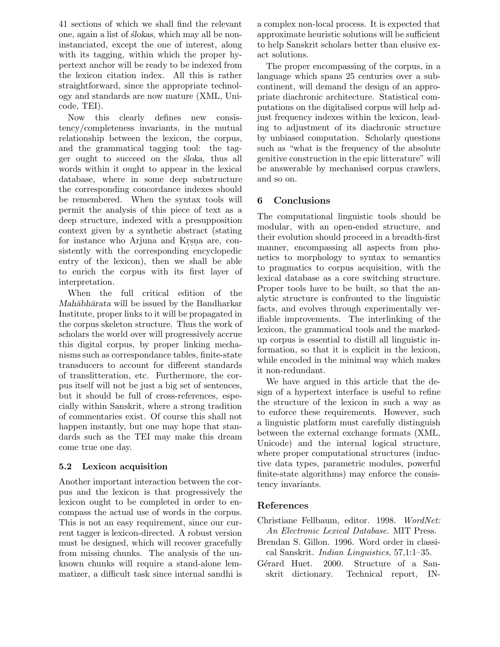41 sections of which we shall find the relevant one, again a list of *slokas*, which may all be noninstanciated, except the one of interest, along with its tagging, within which the proper hypertext anchor will be ready to be indexed from the lexicon citation index. All this is rather straightforward, since the appropriate technology and standards are now mature (XML, Unicode, TEI).

Now this clearly defines new consistency/completeness invariants, in the mutual relationship between the lexicon, the corpus, and the grammatical tagging tool: the tagger ought to succeed on the *sloka*, thus all words within it ought to appear in the lexical database, where in some deep substructure the corresponding concordance indexes should be remembered. When the syntax tools will permit the analysis of this piece of text as a deep structure, indexed with a presupposition context given by a synthetic abstract (stating for instance who Arjuna and Krsna are, consistently with the corresponding encyclopedic entry of the lexicon), then we shall be able to enrich the corpus with its first layer of interpretation.

When the full critical edition of the Mahābhārata will be issued by the Bandharkar Institute, proper links to it will be propagated in the corpus skeleton structure. Thus the work of scholars the world over will progressively accrue this digital corpus, by proper linking mechanisms such as correspondance tables, finite-state transducers to account for different standards of translitteration, etc. Furthermore, the corpus itself will not be just a big set of sentences, but it should be full of cross-references, especially within Sanskrit, where a strong tradition of commentaries exist. Of course this shall not happen instantly, but one may hope that standards such as the TEI may make this dream come true one day.

### 5.2 Lexicon acquisition

Another important interaction between the corpus and the lexicon is that progressively the lexicon ought to be completed in order to encompass the actual use of words in the corpus. This is not an easy requirement, since our current tagger is lexicon-directed. A robust version must be designed, which will recover gracefully from missing chunks. The analysis of the unknown chunks will require a stand-alone lemmatizer, a difficult task since internal sandhi is a complex non-local process. It is expected that approximate heuristic solutions will be sufficient to help Sanskrit scholars better than elusive exact solutions.

The proper encompassing of the corpus, in a language which spans 25 centuries over a subcontinent, will demand the design of an appropriate diachronic architecture. Statistical computations on the digitalised corpus will help adjust frequency indexes within the lexicon, leading to adjustment of its diachronic structure by unbiased computation. Scholarly questions such as "what is the frequency of the absolute genitive construction in the epic litterature" will be answerable by mechanised corpus crawlers, and so on.

## 6 Conclusions

The computational linguistic tools should be modular, with an open-ended structure, and their evolution should proceed in a breadth-first manner, encompassing all aspects from phonetics to morphology to syntax to semantics to pragmatics to corpus acquisition, with the lexical database as a core switching structure. Proper tools have to be built, so that the analytic structure is confronted to the linguistic facts, and evolves through experimentally verifiable improvements. The interlinking of the lexicon, the grammatical tools and the markedup corpus is essential to distill all linguistic information, so that it is explicit in the lexicon, while encoded in the minimal way which makes it non-redundant.

We have argued in this article that the design of a hypertext interface is useful to refine the structure of the lexicon in such a way as to enforce these requirements. However, such a linguistic platform must carefully distinguish between the external exchange formats (XML, Unicode) and the internal logical structure, where proper computational structures (inductive data types, parametric modules, powerful finite-state algorithms) may enforce the consistency invariants.

# References

- Christiane Fellbaum, editor. 1998. WordNet: An Electronic Lexical Database. MIT Press.
- Brendan S. Gillon. 1996. Word order in classical Sanskrit. Indian Linguistics, 57,1:1–35.
- Gérard Huet. 2000. Structure of a Sanskrit dictionary. Technical report, IN-